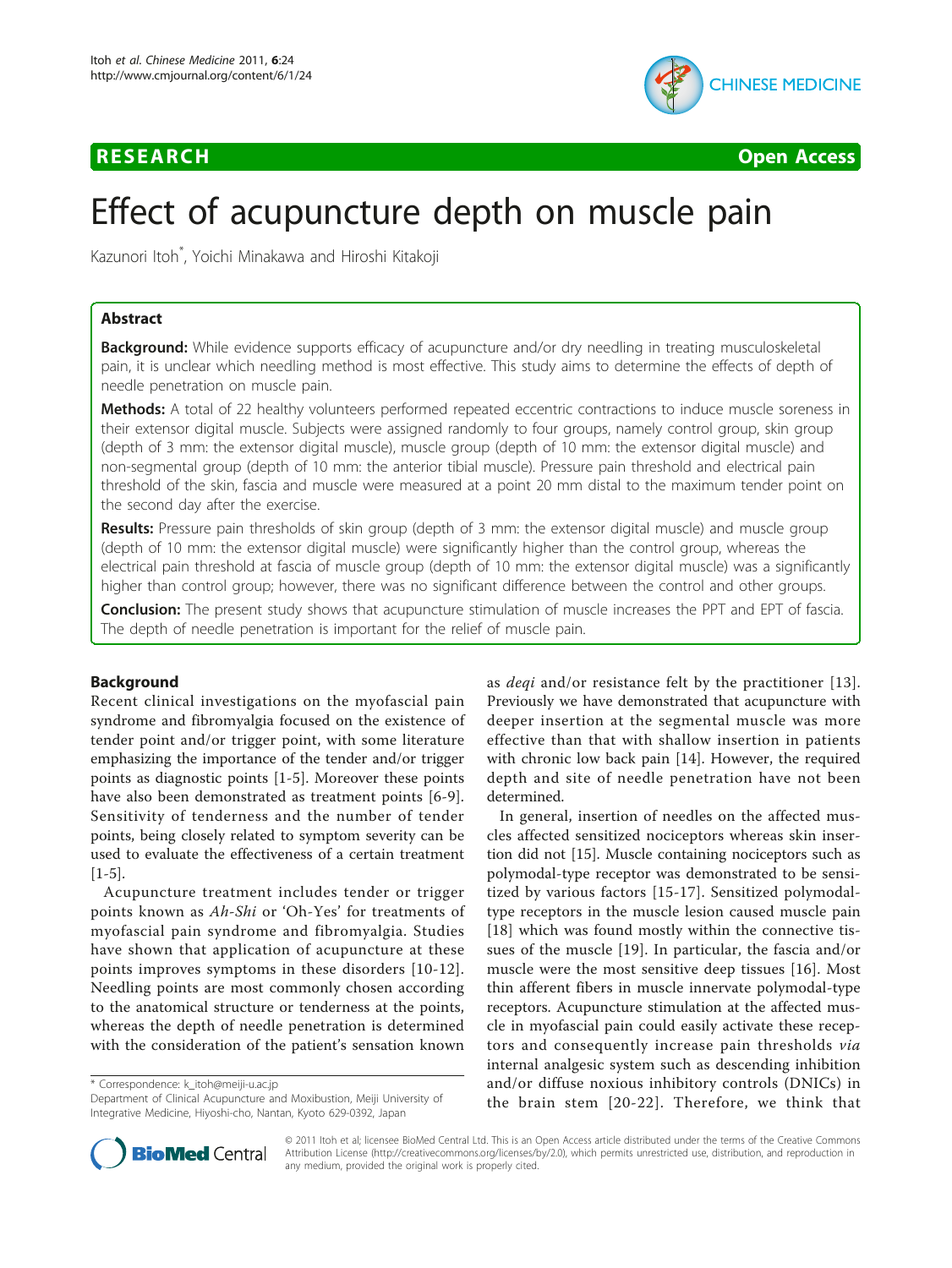# **RESEARCH CONTROL** CONTROL CONTROL CONTROL CONTROL CONTROL CONTROL CONTROL CONTROL CONTROL CONTROL CONTROL CONTROL CONTROL CONTROL CONTROL CONTROL CONTROL CONTROL CONTROL CONTROL CONTROL CONTROL CONTROL CONTROL CONTROL CON



# Effect of acupuncture depth on muscle pain

Kazunori Itoh\* , Yoichi Minakawa and Hiroshi Kitakoji

# Abstract

**Background:** While evidence supports efficacy of acupuncture and/or dry needling in treating musculoskeletal pain, it is unclear which needling method is most effective. This study aims to determine the effects of depth of needle penetration on muscle pain.

**Methods:** A total of 22 healthy volunteers performed repeated eccentric contractions to induce muscle soreness in their extensor digital muscle. Subjects were assigned randomly to four groups, namely control group, skin group (depth of 3 mm: the extensor digital muscle), muscle group (depth of 10 mm: the extensor digital muscle) and non-segmental group (depth of 10 mm: the anterior tibial muscle). Pressure pain threshold and electrical pain threshold of the skin, fascia and muscle were measured at a point 20 mm distal to the maximum tender point on the second day after the exercise.

Results: Pressure pain thresholds of skin group (depth of 3 mm: the extensor digital muscle) and muscle group (depth of 10 mm: the extensor digital muscle) were significantly higher than the control group, whereas the electrical pain threshold at fascia of muscle group (depth of 10 mm: the extensor digital muscle) was a significantly higher than control group; however, there was no significant difference between the control and other groups.

Conclusion: The present study shows that acupuncture stimulation of muscle increases the PPT and EPT of fascia. The depth of needle penetration is important for the relief of muscle pain.

## Background

Recent clinical investigations on the myofascial pain syndrome and fibromyalgia focused on the existence of tender point and/or trigger point, with some literature emphasizing the importance of the tender and/or trigger points as diagnostic points [\[1](#page-4-0)-[5\]](#page-4-0). Moreover these points have also been demonstrated as treatment points [\[6](#page-4-0)-[9](#page-4-0)]. Sensitivity of tenderness and the number of tender points, being closely related to symptom severity can be used to evaluate the effectiveness of a certain treatment  $[1-5]$  $[1-5]$  $[1-5]$ .

Acupuncture treatment includes tender or trigger points known as Ah-Shi or 'Oh-Yes' for treatments of myofascial pain syndrome and fibromyalgia. Studies have shown that application of acupuncture at these points improves symptoms in these disorders [[10-12\]](#page-4-0). Needling points are most commonly chosen according to the anatomical structure or tenderness at the points, whereas the depth of needle penetration is determined with the consideration of the patient's sensation known

\* Correspondence: [k\\_itoh@meiji-u.ac.jp](mailto:k_itoh@meiji-u.ac.jp)

Department of Clinical Acupuncture and Moxibustion, Meiji University of Integrative Medicine, Hiyoshi-cho, Nantan, Kyoto 629-0392, Japan

as deqi and/or resistance felt by the practitioner [[13\]](#page-4-0). Previously we have demonstrated that acupuncture with deeper insertion at the segmental muscle was more effective than that with shallow insertion in patients with chronic low back pain [[14\]](#page-4-0). However, the required depth and site of needle penetration have not been determined.

In general, insertion of needles on the affected muscles affected sensitized nociceptors whereas skin insertion did not [[15](#page-4-0)]. Muscle containing nociceptors such as polymodal-type receptor was demonstrated to be sensitized by various factors [[15-17\]](#page-4-0). Sensitized polymodaltype receptors in the muscle lesion caused muscle pain [[18\]](#page-4-0) which was found mostly within the connective tissues of the muscle [[19](#page-4-0)]. In particular, the fascia and/or muscle were the most sensitive deep tissues [[16](#page-4-0)]. Most thin afferent fibers in muscle innervate polymodal-type receptors. Acupuncture stimulation at the affected muscle in myofascial pain could easily activate these receptors and consequently increase pain thresholds via internal analgesic system such as descending inhibition and/or diffuse noxious inhibitory controls (DNICs) in the brain stem [[20-22\]](#page-4-0). Therefore, we think that



© 2011 Itoh et al; licensee BioMed Central Ltd. This is an Open Access article distributed under the terms of the Creative Commons Attribution License [\(http://creativecommons.org/licenses/by/2.0](http://creativecommons.org/licenses/by/2.0)), which permits unrestricted use, distribution, and reproduction in any medium, provided the original work is properly cited.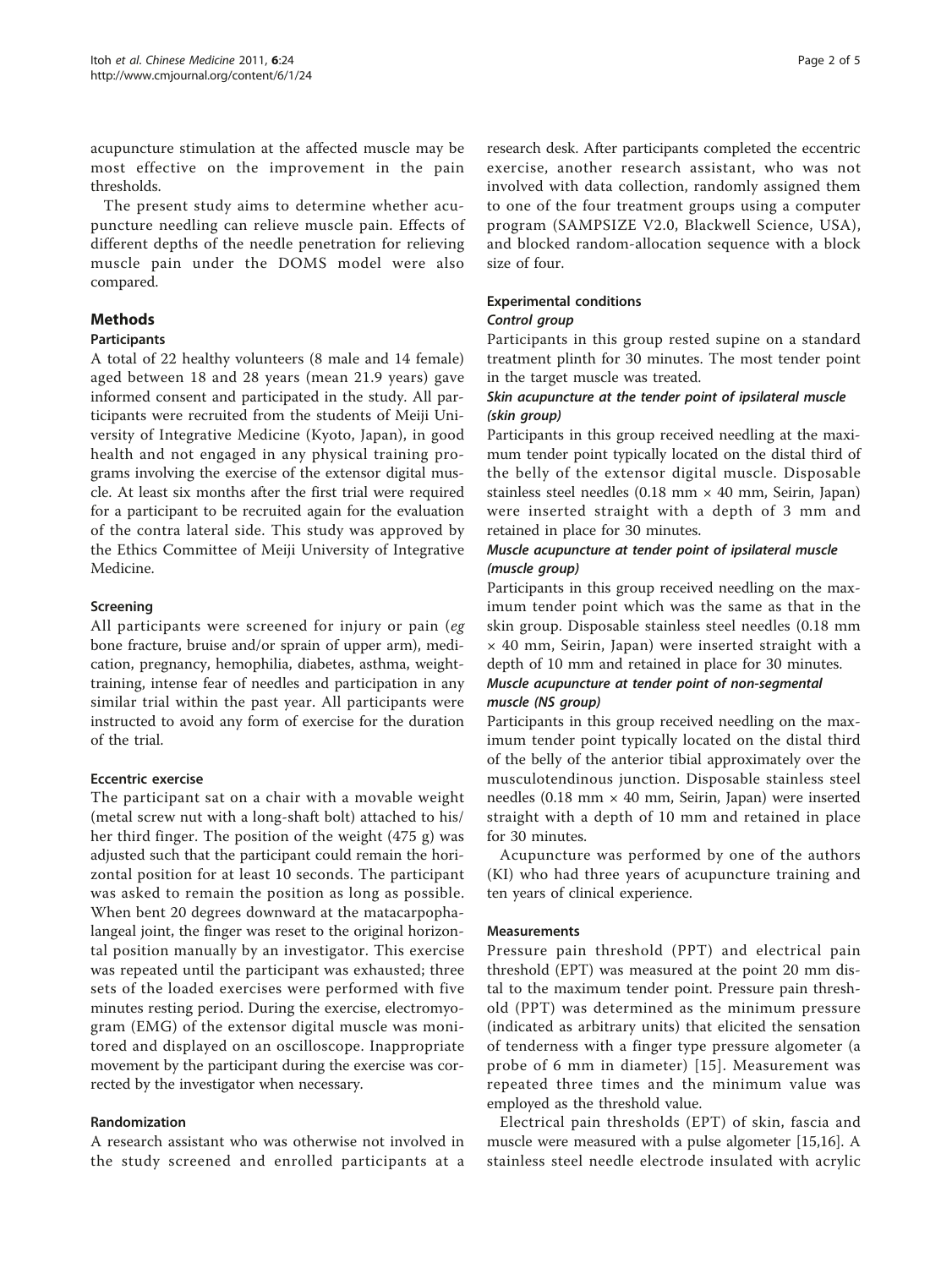acupuncture stimulation at the affected muscle may be most effective on the improvement in the pain thresholds.

The present study aims to determine whether acupuncture needling can relieve muscle pain. Effects of different depths of the needle penetration for relieving muscle pain under the DOMS model were also compared.

# Methods

## Participants

A total of 22 healthy volunteers (8 male and 14 female) aged between 18 and 28 years (mean 21.9 years) gave informed consent and participated in the study. All participants were recruited from the students of Meiji University of Integrative Medicine (Kyoto, Japan), in good health and not engaged in any physical training programs involving the exercise of the extensor digital muscle. At least six months after the first trial were required for a participant to be recruited again for the evaluation of the contra lateral side. This study was approved by the Ethics Committee of Meiji University of Integrative Medicine.

# Screening

All participants were screened for injury or pain (eg bone fracture, bruise and/or sprain of upper arm), medication, pregnancy, hemophilia, diabetes, asthma, weighttraining, intense fear of needles and participation in any similar trial within the past year. All participants were instructed to avoid any form of exercise for the duration of the trial.

## Eccentric exercise

The participant sat on a chair with a movable weight (metal screw nut with a long-shaft bolt) attached to his/ her third finger. The position of the weight (475 g) was adjusted such that the participant could remain the horizontal position for at least 10 seconds. The participant was asked to remain the position as long as possible. When bent 20 degrees downward at the matacarpophalangeal joint, the finger was reset to the original horizontal position manually by an investigator. This exercise was repeated until the participant was exhausted; three sets of the loaded exercises were performed with five minutes resting period. During the exercise, electromyogram (EMG) of the extensor digital muscle was monitored and displayed on an oscilloscope. Inappropriate movement by the participant during the exercise was corrected by the investigator when necessary.

## Randomization

A research assistant who was otherwise not involved in the study screened and enrolled participants at a

research desk. After participants completed the eccentric exercise, another research assistant, who was not involved with data collection, randomly assigned them to one of the four treatment groups using a computer program (SAMPSIZE V2.0, Blackwell Science, USA), and blocked random-allocation sequence with a block size of four.

# Experimental conditions

## Control group

Participants in this group rested supine on a standard treatment plinth for 30 minutes. The most tender point in the target muscle was treated.

# Skin acupuncture at the tender point of ipsilateral muscle (skin group)

Participants in this group received needling at the maximum tender point typically located on the distal third of the belly of the extensor digital muscle. Disposable stainless steel needles (0.18 mm  $\times$  40 mm, Seirin, Japan) were inserted straight with a depth of 3 mm and retained in place for 30 minutes.

## Muscle acupuncture at tender point of ipsilateral muscle (muscle group)

Participants in this group received needling on the maximum tender point which was the same as that in the skin group. Disposable stainless steel needles (0.18 mm × 40 mm, Seirin, Japan) were inserted straight with a depth of 10 mm and retained in place for 30 minutes. Muscle acupuncture at tender point of non-segmental muscle (NS group)

# Participants in this group received needling on the maximum tender point typically located on the distal third of the belly of the anterior tibial approximately over the musculotendinous junction. Disposable stainless steel needles (0.18 mm  $\times$  40 mm, Seirin, Japan) were inserted straight with a depth of 10 mm and retained in place for 30 minutes.

Acupuncture was performed by one of the authors (KI) who had three years of acupuncture training and ten years of clinical experience.

## Measurements

Pressure pain threshold (PPT) and electrical pain threshold (EPT) was measured at the point 20 mm distal to the maximum tender point. Pressure pain threshold (PPT) was determined as the minimum pressure (indicated as arbitrary units) that elicited the sensation of tenderness with a finger type pressure algometer (a probe of 6 mm in diameter) [[15\]](#page-4-0). Measurement was repeated three times and the minimum value was employed as the threshold value.

Electrical pain thresholds (EPT) of skin, fascia and muscle were measured with a pulse algometer [\[15,16](#page-4-0)]. A stainless steel needle electrode insulated with acrylic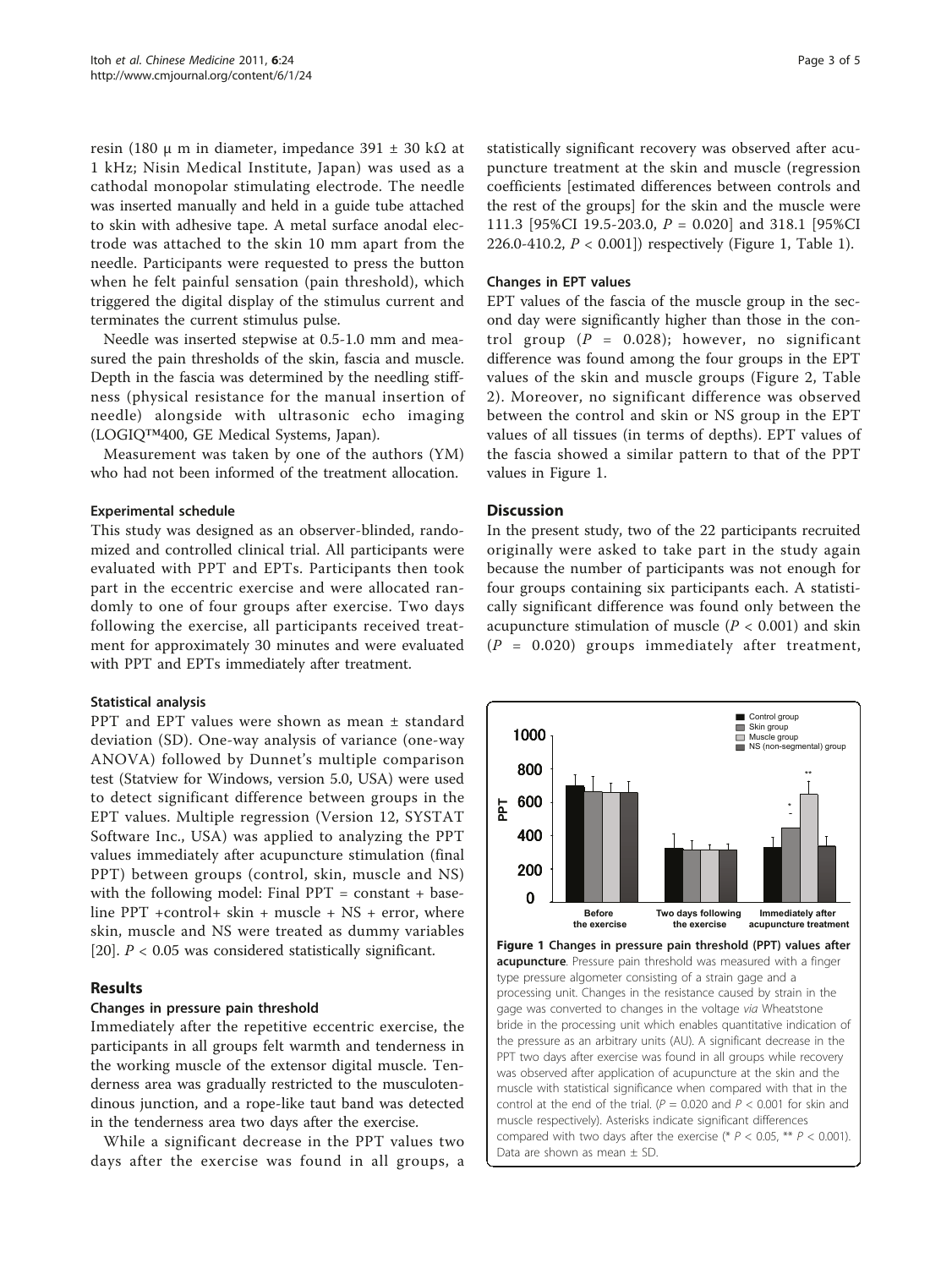<span id="page-2-0"></span>resin (180 μ m in diameter, impedance 391  $\pm$  30 kΩ at 1 kHz; Nisin Medical Institute, Japan) was used as a cathodal monopolar stimulating electrode. The needle was inserted manually and held in a guide tube attached to skin with adhesive tape. A metal surface anodal electrode was attached to the skin 10 mm apart from the needle. Participants were requested to press the button when he felt painful sensation (pain threshold), which triggered the digital display of the stimulus current and terminates the current stimulus pulse.

Needle was inserted stepwise at 0.5-1.0 mm and measured the pain thresholds of the skin, fascia and muscle. Depth in the fascia was determined by the needling stiffness (physical resistance for the manual insertion of needle) alongside with ultrasonic echo imaging (LOGIQ™400, GE Medical Systems, Japan).

Measurement was taken by one of the authors (YM) who had not been informed of the treatment allocation.

#### Experimental schedule

This study was designed as an observer-blinded, randomized and controlled clinical trial. All participants were evaluated with PPT and EPTs. Participants then took part in the eccentric exercise and were allocated randomly to one of four groups after exercise. Two days following the exercise, all participants received treatment for approximately 30 minutes and were evaluated with PPT and EPTs immediately after treatment.

#### Statistical analysis

PPT and EPT values were shown as mean ± standard deviation (SD). One-way analysis of variance (one-way ANOVA) followed by Dunnet's multiple comparison test (Statview for Windows, version 5.0, USA) were used to detect significant difference between groups in the EPT values. Multiple regression (Version 12, SYSTAT Software Inc., USA) was applied to analyzing the PPT values immediately after acupuncture stimulation (final PPT) between groups (control, skin, muscle and NS) with the following model: Final  $PPT = constant + base$ line PPT +control+ skin + muscle + NS + error, where skin, muscle and NS were treated as dummy variables [[20\]](#page-4-0).  $P < 0.05$  was considered statistically significant.

## Results

#### Changes in pressure pain threshold

Immediately after the repetitive eccentric exercise, the participants in all groups felt warmth and tenderness in the working muscle of the extensor digital muscle. Tenderness area was gradually restricted to the musculotendinous junction, and a rope-like taut band was detected in the tenderness area two days after the exercise.

While a significant decrease in the PPT values two days after the exercise was found in all groups, a

statistically significant recovery was observed after acupuncture treatment at the skin and muscle (regression coefficients [estimated differences between controls and the rest of the groups] for the skin and the muscle were 111.3 [95%CI 19.5-203.0, P = 0.020] and 318.1 [95%CI 226.0-410.2,  $P < 0.001$ ]) respectively (Figure [1](#page-3-0), Table 1).

#### Changes in EPT values

EPT values of the fascia of the muscle group in the second day were significantly higher than those in the control group ( $P = 0.028$ ); however, no significant difference was found among the four groups in the EPT values of the skin and muscle groups (Figure [2,](#page-3-0) Table [2\)](#page-3-0). Moreover, no significant difference was observed between the control and skin or NS group in the EPT values of all tissues (in terms of depths). EPT values of the fascia showed a similar pattern to that of the PPT values in Figure 1.

#### **Discussion**

In the present study, two of the 22 participants recruited originally were asked to take part in the study again because the number of participants was not enough for four groups containing six participants each. A statistically significant difference was found only between the acupuncture stimulation of muscle ( $P < 0.001$ ) and skin  $(P = 0.020)$  groups immediately after treatment,

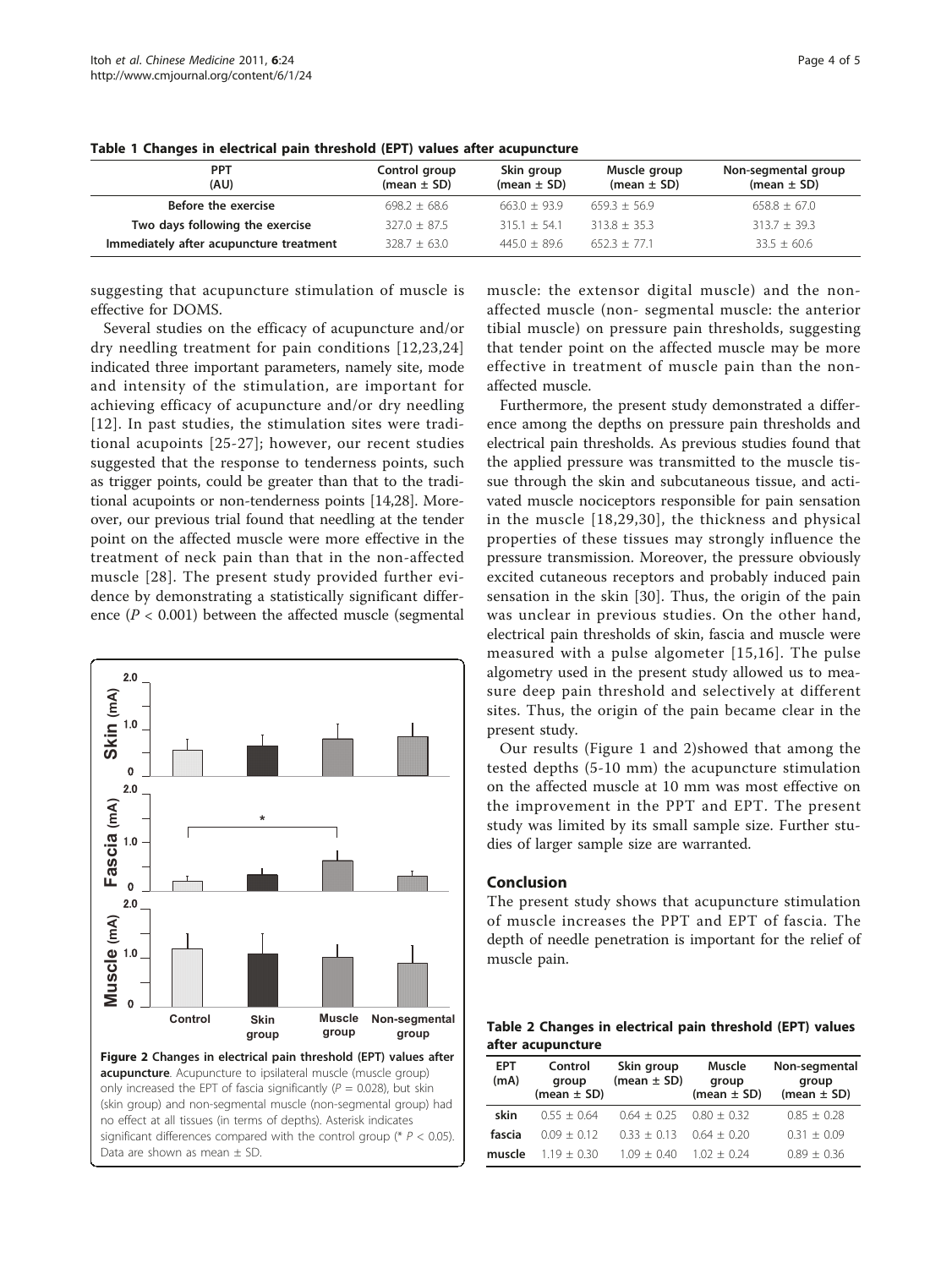| <b>PPT</b><br>(AU)                      | Control group<br>(mean $\pm$ SD) | Skin group<br>(mean $\pm$ SD) | Muscle group<br>(mean $\pm$ SD) | Non-segmental group<br>(mean $\pm$ SD) |
|-----------------------------------------|----------------------------------|-------------------------------|---------------------------------|----------------------------------------|
| Before the exercise                     | $698.2 + 68.6$                   | $663.0 + 93.9$                | $659.3 + 56.9$                  | $658.8 \pm 67.0$                       |
| Two days following the exercise         | $327.0 \pm 87.5$                 | $315.1 + 54.1$                | $313.8 + 35.3$                  | $313.7 \pm 39.3$                       |
| Immediately after acupuncture treatment | $328.7 \pm 63.0$                 | $445.0 \pm 89.6$              | $652.3 + 77.1$                  | $33.5 \pm 60.6$                        |

<span id="page-3-0"></span>Table 1 Changes in electrical pain threshold (EPT) values after acupuncture

suggesting that acupuncture stimulation of muscle is effective for DOMS.

Several studies on the efficacy of acupuncture and/or dry needling treatment for pain conditions [\[12,23,24](#page-4-0)] indicated three important parameters, namely site, mode and intensity of the stimulation, are important for achieving efficacy of acupuncture and/or dry needling [[12](#page-4-0)]. In past studies, the stimulation sites were traditional acupoints [\[25-27](#page-4-0)]; however, our recent studies suggested that the response to tenderness points, such as trigger points, could be greater than that to the traditional acupoints or non-tenderness points [[14](#page-4-0),[28](#page-4-0)]. Moreover, our previous trial found that needling at the tender point on the affected muscle were more effective in the treatment of neck pain than that in the non-affected muscle [[28\]](#page-4-0). The present study provided further evidence by demonstrating a statistically significant difference ( $P < 0.001$ ) between the affected muscle (segmental



muscle: the extensor digital muscle) and the nonaffected muscle (non- segmental muscle: the anterior tibial muscle) on pressure pain thresholds, suggesting that tender point on the affected muscle may be more effective in treatment of muscle pain than the nonaffected muscle.

Furthermore, the present study demonstrated a difference among the depths on pressure pain thresholds and electrical pain thresholds. As previous studies found that the applied pressure was transmitted to the muscle tissue through the skin and subcutaneous tissue, and activated muscle nociceptors responsible for pain sensation in the muscle [[18](#page-4-0),[29](#page-4-0),[30](#page-4-0)], the thickness and physical properties of these tissues may strongly influence the pressure transmission. Moreover, the pressure obviously excited cutaneous receptors and probably induced pain sensation in the skin [\[30](#page-4-0)]. Thus, the origin of the pain was unclear in previous studies. On the other hand, electrical pain thresholds of skin, fascia and muscle were measured with a pulse algometer [[15,16\]](#page-4-0). The pulse algometry used in the present study allowed us to measure deep pain threshold and selectively at different sites. Thus, the origin of the pain became clear in the present study.

Our results (Figure [1](#page-2-0) and 2)showed that among the tested depths (5-10 mm) the acupuncture stimulation on the affected muscle at 10 mm was most effective on the improvement in the PPT and EPT. The present study was limited by its small sample size. Further studies of larger sample size are warranted.

#### Conclusion

The present study shows that acupuncture stimulation of muscle increases the PPT and EPT of fascia. The depth of needle penetration is important for the relief of muscle pain.

Table 2 Changes in electrical pain threshold (EPT) values after acupuncture

| <b>EPT</b><br>(mA) | Control<br>group<br>(mean $\pm$ SD) | Skin group<br>(mean $\pm$ SD) | Muscle<br>group<br>(mean $\pm$ SD) | Non-segmental<br>group<br>(mean $\pm$ SD) |
|--------------------|-------------------------------------|-------------------------------|------------------------------------|-------------------------------------------|
| skin               | $0.55 + 0.64$                       | $0.64 + 0.25$ $0.80 + 0.32$   |                                    | $0.85 + 0.28$                             |
| fascia             | $0.09 + 0.12$                       | $033 + 013$                   | $0.64 + 0.20$                      | $0.31 + 0.09$                             |
| muscle             | $1.19 + 0.30$                       | $1.09 + 0.40$                 | $102 + 024$                        | $0.89 + 0.36$                             |